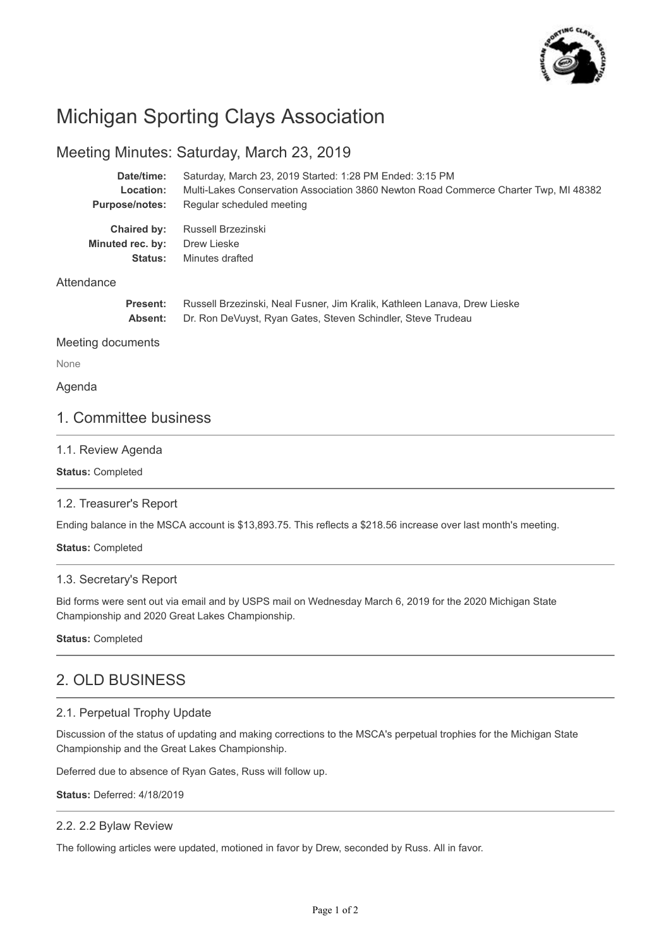

# Michigan Sporting Clays Association

# Meeting Minutes: Saturday, March 23, 2019

| Date/time:            | Saturday, March 23, 2019 Started: 1:28 PM Ended: 3:15 PM                             |
|-----------------------|--------------------------------------------------------------------------------------|
| Location:             | Multi-Lakes Conservation Association 3860 Newton Road Commerce Charter Twp, MI 48382 |
| <b>Purpose/notes:</b> | Regular scheduled meeting                                                            |
| Chaired by:           | Russell Brzezinski                                                                   |
| Minuted rec. by:      | Drew Lieske                                                                          |
| Status:               | Minutes drafted                                                                      |

### **Attendance**

| <b>Present:</b> | Russell Brzezinski, Neal Fusner, Jim Kralik, Kathleen Lanava, Drew Lieske |
|-----------------|---------------------------------------------------------------------------|
| Absent:         | Dr. Ron DeVuyst, Ryan Gates, Steven Schindler, Steve Trudeau              |

Meeting documents

None

#### Agenda

## 1. Committee business

### 1.1. Review Agenda

**Status:** Completed

### 1.2. Treasurer's Report

Ending balance in the MSCA account is \$13,893.75. This reflects a \$218.56 increase over last month's meeting.

**Status:** Completed

### 1.3. Secretary's Report

Bid forms were sent out via email and by USPS mail on Wednesday March 6, 2019 for the 2020 Michigan State Championship and 2020 Great Lakes Championship.

**Status:** Completed

# 2. OLD BUSINESS

### 2.1. Perpetual Trophy Update

Discussion of the status of updating and making corrections to the MSCA's perpetual trophies for the Michigan State Championship and the Great Lakes Championship.

Deferred due to absence of Ryan Gates, Russ will follow up.

**Status:** Deferred: 4/18/2019

#### 2.2. 2.2 Bylaw Review

The following articles were updated, motioned in favor by Drew, seconded by Russ. All in favor.